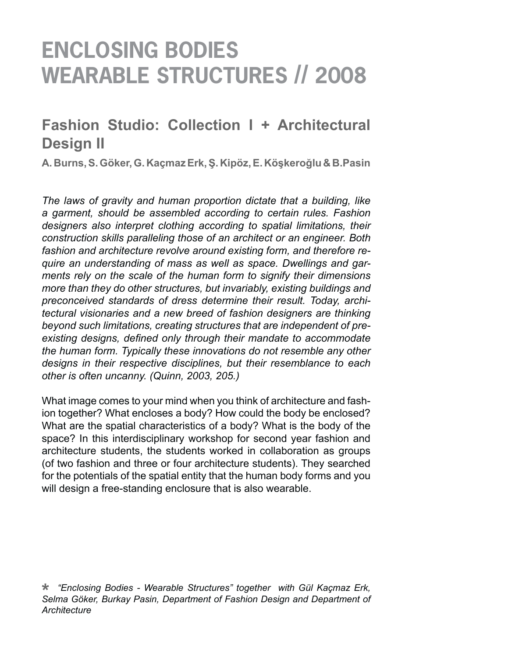## **ENCLOSING BODIES WEARABLE STRUCTURES // 2008**

## **Fashion Studio: Collection I + Architectural Design II**

**A. Burns, S. Göker, G. Kaçmaz Erk, Ş. Kipöz, E. Köşkeroğlu & B.Pasin**

*The laws of gravity and human proportion dictate that a building, like a garment, should be assembled according to certain rules. Fashion designers also interpret clothing according to spatial limitations, their construction skills paralleling those of an architect or an engineer. Both fashion and architecture revolve around existing form, and therefore require an understanding of mass as well as space. Dwellings and garments rely on the scale of the human form to signify their dimensions more than they do other structures, but invariably, existing buildings and preconceived standards of dress determine their result. Today, architectural visionaries and a new breed of fashion designers are thinking beyond such limitations, creating structures that are independent of preexisting designs, defined only through their mandate to accommodate the human form. Typically these innovations do not resemble any other designs in their respective disciplines, but their resemblance to each other is often uncanny. (Quinn, 2003, 205.)*

What image comes to your mind when you think of architecture and fashion together? What encloses a body? How could the body be enclosed? What are the spatial characteristics of a body? What is the body of the space? In this interdisciplinary workshop for second year fashion and architecture students, the students worked in collaboration as groups (of two fashion and three or four architecture students). They searched for the potentials of the spatial entity that the human body forms and you will design a free-standing enclosure that is also wearable.

**\*** *"Enclosing Bodies - Wearable Structures" together with Gül Kaçmaz Erk, Selma Göker, Burkay Pasin, Department of Fashion Design and Department of Architecture*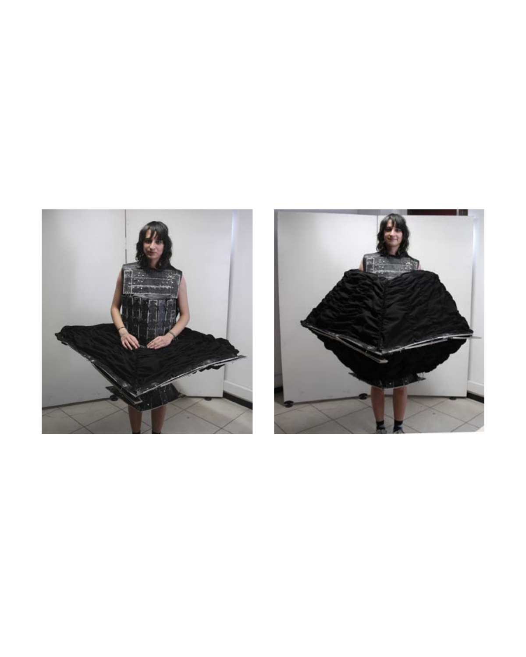

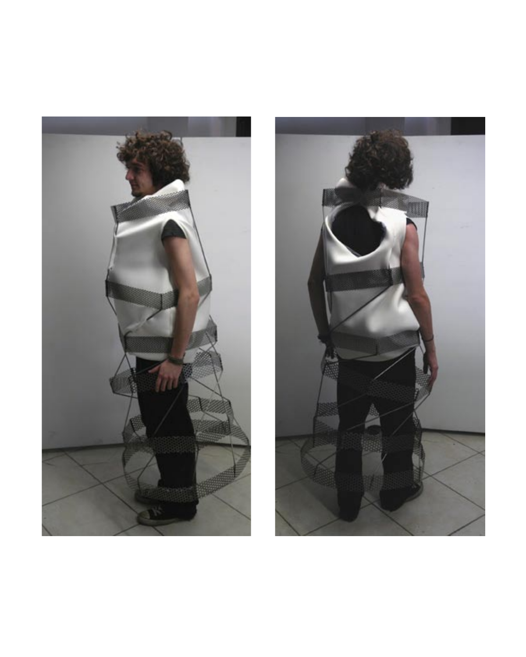

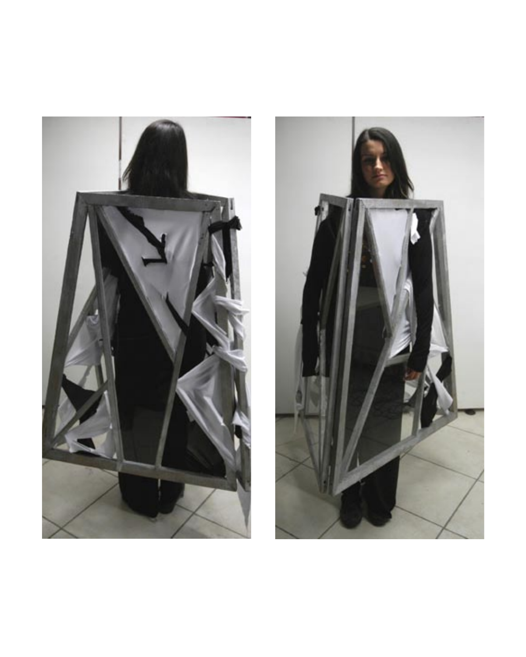

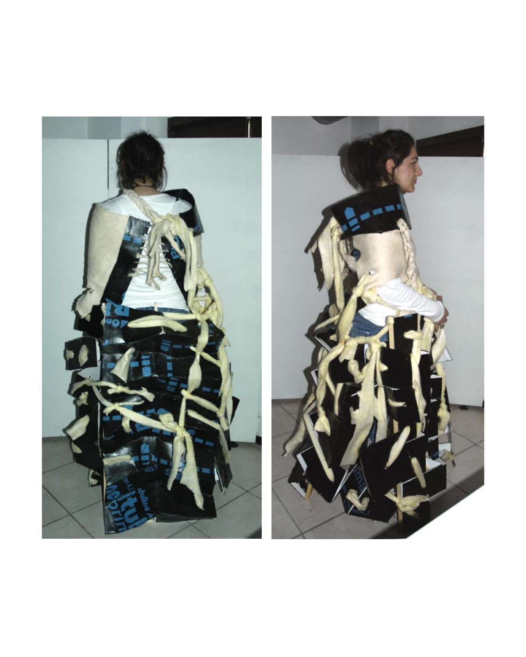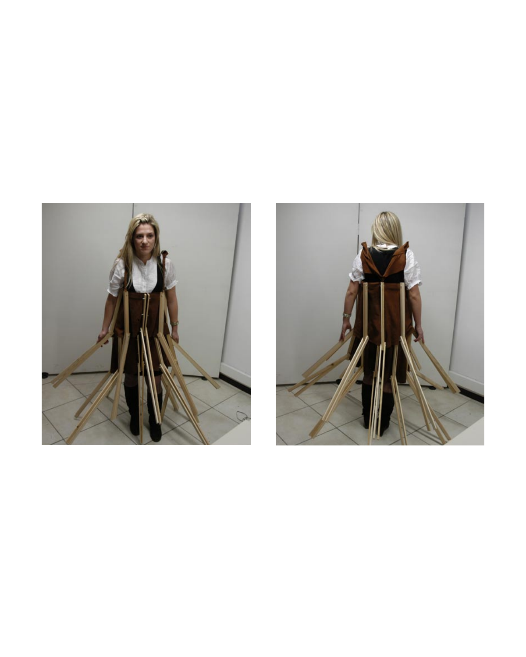